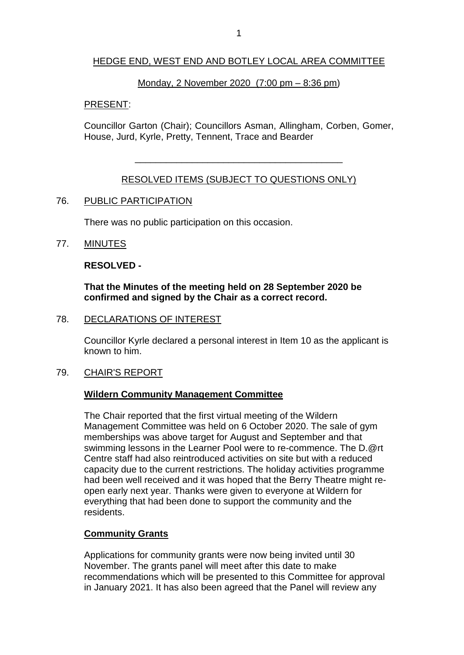### HEDGE END, WEST END AND BOTLEY LOCAL AREA COMMITTEE

#### Monday, 2 November 2020 (7:00 pm – 8:36 pm)

#### PRESENT:

Councillor Garton (Chair); Councillors Asman, Allingham, Corben, Gomer, House, Jurd, Kyrle, Pretty, Tennent, Trace and Bearder

## RESOLVED ITEMS (SUBJECT TO QUESTIONS ONLY)

\_\_\_\_\_\_\_\_\_\_\_\_\_\_\_\_\_\_\_\_\_\_\_\_\_\_\_\_\_\_\_\_\_\_\_\_\_\_\_\_

#### 76. PUBLIC PARTICIPATION

There was no public participation on this occasion.

#### 77. MINUTES

#### **RESOLVED -**

### **That the Minutes of the meeting held on 28 September 2020 be confirmed and signed by the Chair as a correct record.**

78. DECLARATIONS OF INTEREST

Councillor Kyrle declared a personal interest in Item 10 as the applicant is known to him.

#### 79. CHAIR'S REPORT

### **Wildern Community Management Committee**

The Chair reported that the first virtual meeting of the Wildern Management Committee was held on 6 October 2020. The sale of gym memberships was above target for August and September and that swimming lessons in the Learner Pool were to re-commence. The D.@rt Centre staff had also reintroduced activities on site but with a reduced capacity due to the current restrictions. The holiday activities programme had been well received and it was hoped that the Berry Theatre might reopen early next year. Thanks were given to everyone at Wildern for everything that had been done to support the community and the residents.

### **Community Grants**

Applications for community grants were now being invited until 30 November. The grants panel will meet after this date to make recommendations which will be presented to this Committee for approval in January 2021. It has also been agreed that the Panel will review any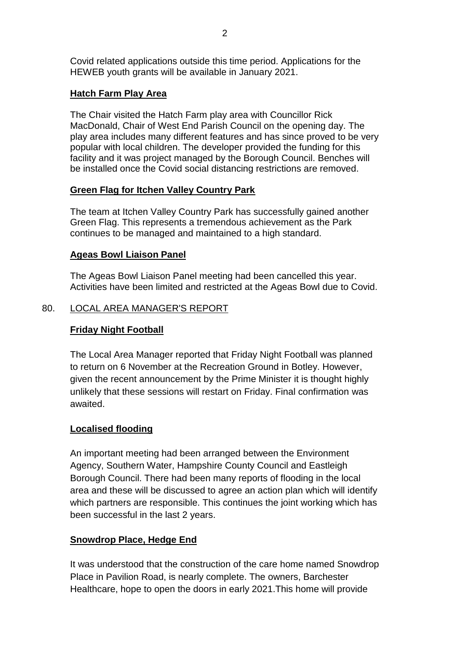Covid related applications outside this time period. Applications for the HEWEB youth grants will be available in January 2021.

# **Hatch Farm Play Area**

The Chair visited the Hatch Farm play area with Councillor Rick MacDonald, Chair of West End Parish Council on the opening day. The play area includes many different features and has since proved to be very popular with local children. The developer provided the funding for this facility and it was project managed by the Borough Council. Benches will be installed once the Covid social distancing restrictions are removed.

## **Green Flag for Itchen Valley Country Park**

The team at Itchen Valley Country Park has successfully gained another Green Flag. This represents a tremendous achievement as the Park continues to be managed and maintained to a high standard.

## **Ageas Bowl Liaison Panel**

The Ageas Bowl Liaison Panel meeting had been cancelled this year. Activities have been limited and restricted at the Ageas Bowl due to Covid.

## 80. LOCAL AREA MANAGER'S REPORT

# **Friday Night Football**

The Local Area Manager reported that Friday Night Football was planned to return on 6 November at the Recreation Ground in Botley. However, given the recent announcement by the Prime Minister it is thought highly unlikely that these sessions will restart on Friday. Final confirmation was awaited.

### **Localised flooding**

An important meeting had been arranged between the Environment Agency, Southern Water, Hampshire County Council and Eastleigh Borough Council. There had been many reports of flooding in the local area and these will be discussed to agree an action plan which will identify which partners are responsible. This continues the joint working which has been successful in the last 2 years.

### **Snowdrop Place, Hedge End**

It was understood that the construction of the care home named Snowdrop Place in Pavilion Road, is nearly complete. The owners, Barchester Healthcare, hope to open the doors in early 2021.This home will provide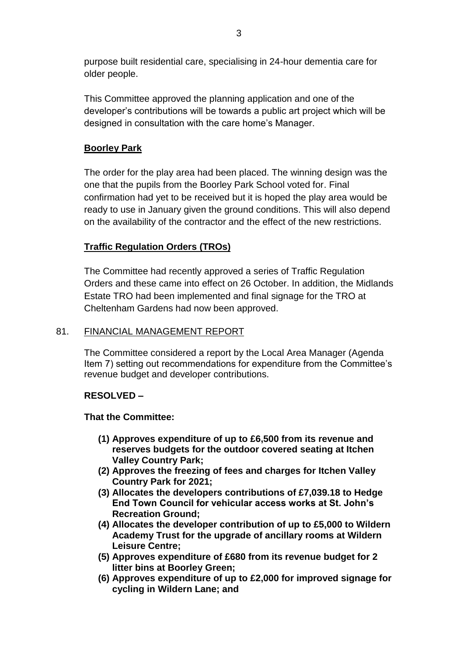purpose built residential care, specialising in 24-hour dementia care for older people.

This Committee approved the planning application and one of the developer's contributions will be towards a public art project which will be designed in consultation with the care home's Manager.

# **Boorley Park**

The order for the play area had been placed. The winning design was the one that the pupils from the Boorley Park School voted for. Final confirmation had yet to be received but it is hoped the play area would be ready to use in January given the ground conditions. This will also depend on the availability of the contractor and the effect of the new restrictions.

# **Traffic Regulation Orders (TROs)**

The Committee had recently approved a series of Traffic Regulation Orders and these came into effect on 26 October. In addition, the Midlands Estate TRO had been implemented and final signage for the TRO at Cheltenham Gardens had now been approved.

# 81. FINANCIAL MANAGEMENT REPORT

The Committee considered a report by the Local Area Manager (Agenda Item 7) setting out recommendations for expenditure from the Committee's revenue budget and developer contributions.

# **RESOLVED –**

# **That the Committee:**

- **(1) Approves expenditure of up to £6,500 from its revenue and reserves budgets for the outdoor covered seating at Itchen Valley Country Park;**
- **(2) Approves the freezing of fees and charges for Itchen Valley Country Park for 2021;**
- **(3) Allocates the developers contributions of £7,039.18 to Hedge End Town Council for vehicular access works at St. John's Recreation Ground;**
- **(4) Allocates the developer contribution of up to £5,000 to Wildern Academy Trust for the upgrade of ancillary rooms at Wildern Leisure Centre;**
- **(5) Approves expenditure of £680 from its revenue budget for 2 litter bins at Boorley Green;**
- **(6) Approves expenditure of up to £2,000 for improved signage for cycling in Wildern Lane; and**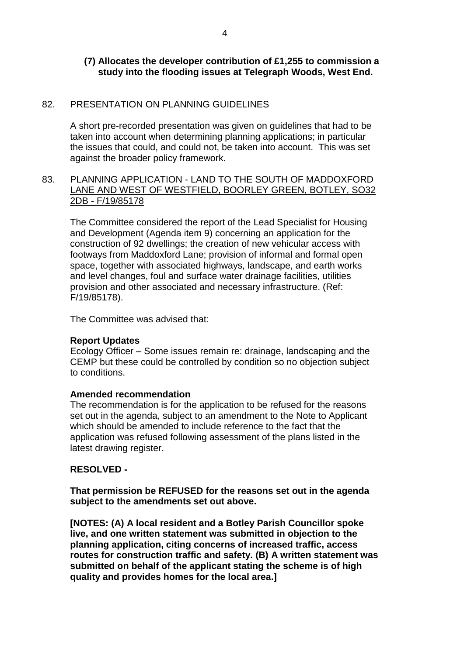### **(7) Allocates the developer contribution of £1,255 to commission a study into the flooding issues at Telegraph Woods, West End.**

### 82. PRESENTATION ON PLANNING GUIDELINES

A short pre-recorded presentation was given on guidelines that had to be taken into account when determining planning applications; in particular the issues that could, and could not, be taken into account. This was set against the broader policy framework.

### 83. PLANNING APPLICATION - LAND TO THE SOUTH OF MADDOXFORD LANE AND WEST OF WESTFIELD, BOORLEY GREEN, BOTLEY, SO32 2DB - F/19/85178

The Committee considered the report of the Lead Specialist for Housing and Development (Agenda item 9) concerning an application for the construction of 92 dwellings; the creation of new vehicular access with footways from Maddoxford Lane; provision of informal and formal open space, together with associated highways, landscape, and earth works and level changes, foul and surface water drainage facilities, utilities provision and other associated and necessary infrastructure. (Ref: F/19/85178).

The Committee was advised that:

### **Report Updates**

Ecology Officer – Some issues remain re: drainage, landscaping and the CEMP but these could be controlled by condition so no objection subject to conditions.

### **Amended recommendation**

The recommendation is for the application to be refused for the reasons set out in the agenda, subject to an amendment to the Note to Applicant which should be amended to include reference to the fact that the application was refused following assessment of the plans listed in the latest drawing register.

### **RESOLVED -**

**That permission be REFUSED for the reasons set out in the agenda subject to the amendments set out above.** 

**[NOTES: (A) A local resident and a Botley Parish Councillor spoke live, and one written statement was submitted in objection to the planning application, citing concerns of increased traffic, access routes for construction traffic and safety. (B) A written statement was submitted on behalf of the applicant stating the scheme is of high quality and provides homes for the local area.]**